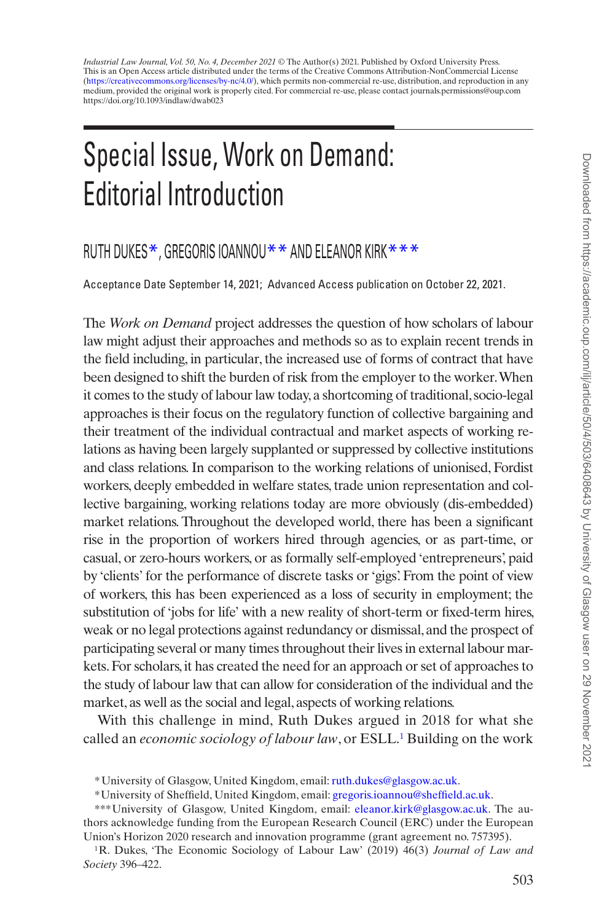*Industrial Law Journal, Vol. 50, No. 4, December 2021* © The Author(s) 2021. Published by Oxford University Press. https://doi.org/10.1093/indlaw/dwab023 This is an Open Access article distributed under the terms of the Creative Commons Attribution-NonCommercial License [\(https://creativecommons.org/licenses/by-nc/4.0/](https://creativecommons.org/licenses/by-nc/4.0/)), which permits non-commercial re-use, distribution, and reproduction in any medium, provided the original work is properly cited. For commercial re-use, please contact journals.permissions@oup.com

## Special Issue, Work on Demand: Editorial Introduction

## RUTH DUKES\*, GREGORIS IOANNOU\*\* AND ELEANOR KIRK\*\*\*

Acceptance Date September 14, 2021; Advanced Access publication on October 22, 2021.

The *Work on Demand* project addresses the question of how scholars of labour law might adjust their approaches and methods so as to explain recent trends in the field including, in particular, the increased use of forms of contract that have been designed to shift the burden of risk from the employer to the worker. When it comes to the study of labour law today, a shortcoming of traditional, socio-legal approaches is their focus on the regulatory function of collective bargaining and their treatment of the individual contractual and market aspects of working relations as having been largely supplanted or suppressed by collective institutions and class relations. In comparison to the working relations of unionised, Fordist workers, deeply embedded in welfare states, trade union representation and collective bargaining, working relations today are more obviously (dis-embedded) market relations. Throughout the developed world, there has been a significant rise in the proportion of workers hired through agencies, or as part-time, or casual, or zero-hours workers, or as formally self-employed 'entrepreneurs', paid by 'clients' for the performance of discrete tasks or 'gigs'. From the point of view of workers, this has been experienced as a loss of security in employment; the substitution of 'jobs for life' with a new reality of short-term or fixed-term hires, weak or no legal protections against redundancy or dismissal, and the prospect of participating several or many times throughout their lives in external labour markets. For scholars, it has created the need for an approach or set of approaches to the study of labour law that can allow for consideration of the individual and the market, as well as the social and legal, aspects of working relations.

With this challenge in mind, Ruth Dukes argued in 2018 for what she called an *economic sociology of labour law*, or ESLL.<sup>[1](#page-0-0)</sup> Building on the work

<sup>\*</sup>University of Glasgow, United Kingdom, email: [ruth.dukes@glasgow.ac.uk](mailto:ruth.dukes@glasgow.ac.uk?subject=).

<sup>\*</sup>University of Sheffield, United Kingdom, email: [gregoris.ioannou@sheffield.ac.uk](mailto:gregoris.ioannou@sheffield.ac.uk?subject=).

<sup>\*\*\*</sup>University of Glasgow, United Kingdom, email: [eleanor.kirk@glasgow.ac.uk](mailto:eleanor.kirk@glasgow.ac.uk?subject=). The authors acknowledge funding from the European Research Council (ERC) under the European Union's Horizon 2020 research and innovation programme (grant agreement no. 757395).

<span id="page-0-0"></span><sup>1</sup>R. Dukes, 'The Economic Sociology of Labour Law' (2019) 46(3) *Journal of Law and Society* 396–422.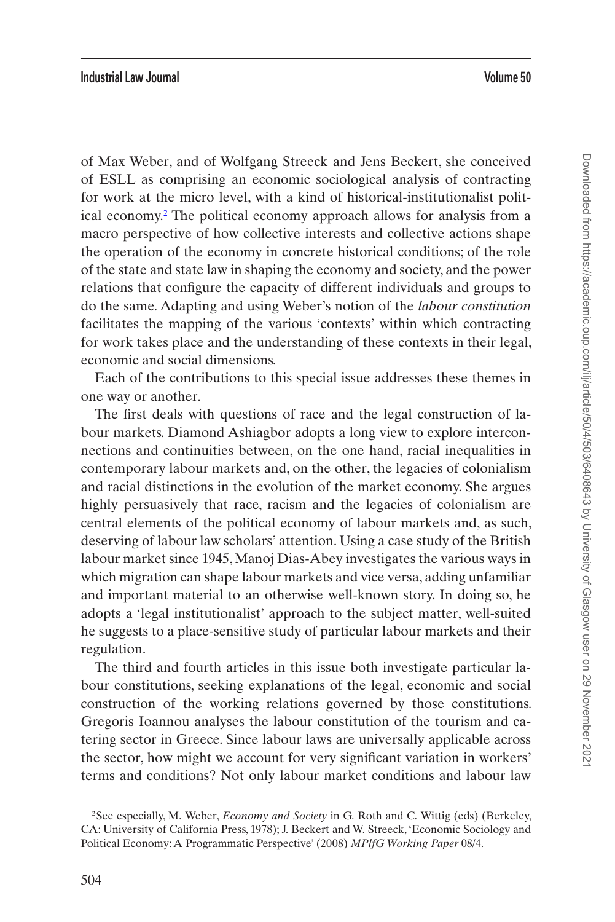## **Industrial Law Journal Volume 50**

of Max Weber, and of Wolfgang Streeck and Jens Beckert, she conceived of ESLL as comprising an economic sociological analysis of contracting for work at the micro level, with a kind of historical-institutionalist political economy.[2](#page-1-0) The political economy approach allows for analysis from a macro perspective of how collective interests and collective actions shape the operation of the economy in concrete historical conditions; of the role of the state and state law in shaping the economy and society, and the power relations that configure the capacity of different individuals and groups to do the same. Adapting and using Weber's notion of the *labour constitution* facilitates the mapping of the various 'contexts' within which contracting for work takes place and the understanding of these contexts in their legal, economic and social dimensions.

Each of the contributions to this special issue addresses these themes in one way or another.

The first deals with questions of race and the legal construction of labour markets. Diamond Ashiagbor adopts a long view to explore interconnections and continuities between, on the one hand, racial inequalities in contemporary labour markets and, on the other, the legacies of colonialism and racial distinctions in the evolution of the market economy. She argues highly persuasively that race, racism and the legacies of colonialism are central elements of the political economy of labour markets and, as such, deserving of labour law scholars' attention. Using a case study of the British labour market since 1945, Manoj Dias-Abey investigates the various ways in which migration can shape labour markets and vice versa, adding unfamiliar and important material to an otherwise well-known story. In doing so, he adopts a 'legal institutionalist' approach to the subject matter, well-suited he suggests to a place-sensitive study of particular labour markets and their regulation.

The third and fourth articles in this issue both investigate particular labour constitutions, seeking explanations of the legal, economic and social construction of the working relations governed by those constitutions. Gregoris Ioannou analyses the labour constitution of the tourism and catering sector in Greece. Since labour laws are universally applicable across the sector, how might we account for very significant variation in workers' terms and conditions? Not only labour market conditions and labour law

<span id="page-1-0"></span><sup>2</sup>See especially, M. Weber, *Economy and Society* in G. Roth and C. Wittig (eds) (Berkeley, CA: University of California Press, 1978); J. Beckert and W. Streeck, 'Economic Sociology and Political Economy: A Programmatic Perspective' (2008) *MPlfG Working Paper* 08/4.